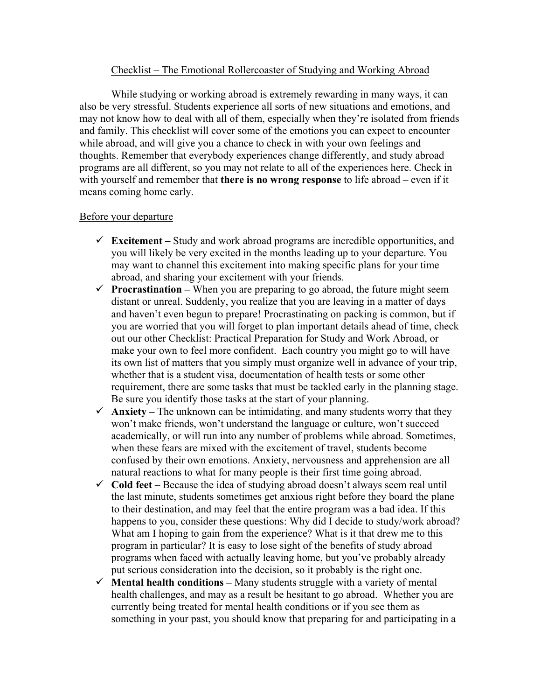## Checklist – The Emotional Rollercoaster of Studying and Working Abroad

While studying or working abroad is extremely rewarding in many ways, it can also be very stressful. Students experience all sorts of new situations and emotions, and may not know how to deal with all of them, especially when they're isolated from friends and family. This checklist will cover some of the emotions you can expect to encounter while abroad, and will give you a chance to check in with your own feelings and thoughts. Remember that everybody experiences change differently, and study abroad programs are all different, so you may not relate to all of the experiences here. Check in with yourself and remember that **there is no wrong response** to life abroad – even if it means coming home early.

## Before your departure

- **Excitement –** Study and work abroad programs are incredible opportunities, and you will likely be very excited in the months leading up to your departure. You may want to channel this excitement into making specific plans for your time abroad, and sharing your excitement with your friends.
- **Procrastination** When you are preparing to go abroad, the future might seem distant or unreal. Suddenly, you realize that you are leaving in a matter of days and haven't even begun to prepare! Procrastinating on packing is common, but if you are worried that you will forget to plan important details ahead of time, check out our other Checklist: Practical Preparation for Study and Work Abroad, or make your own to feel more confident. Each country you might go to will have its own list of matters that you simply must organize well in advance of your trip, whether that is a student visa, documentation of health tests or some other requirement, there are some tasks that must be tackled early in the planning stage. Be sure you identify those tasks at the start of your planning.
- $\checkmark$  **Anxiety** The unknown can be intimidating, and many students worry that they won't make friends, won't understand the language or culture, won't succeed academically, or will run into any number of problems while abroad. Sometimes, when these fears are mixed with the excitement of travel, students become confused by their own emotions. Anxiety, nervousness and apprehension are all natural reactions to what for many people is their first time going abroad.
- **Cold feet –** Because the idea of studying abroad doesn't always seem real until the last minute, students sometimes get anxious right before they board the plane to their destination, and may feel that the entire program was a bad idea. If this happens to you, consider these questions: Why did I decide to study/work abroad? What am I hoping to gain from the experience? What is it that drew me to this program in particular? It is easy to lose sight of the benefits of study abroad programs when faced with actually leaving home, but you've probably already put serious consideration into the decision, so it probably is the right one.
- $\checkmark$  **Mental health conditions** Many students struggle with a variety of mental health challenges, and may as a result be hesitant to go abroad. Whether you are currently being treated for mental health conditions or if you see them as something in your past, you should know that preparing for and participating in a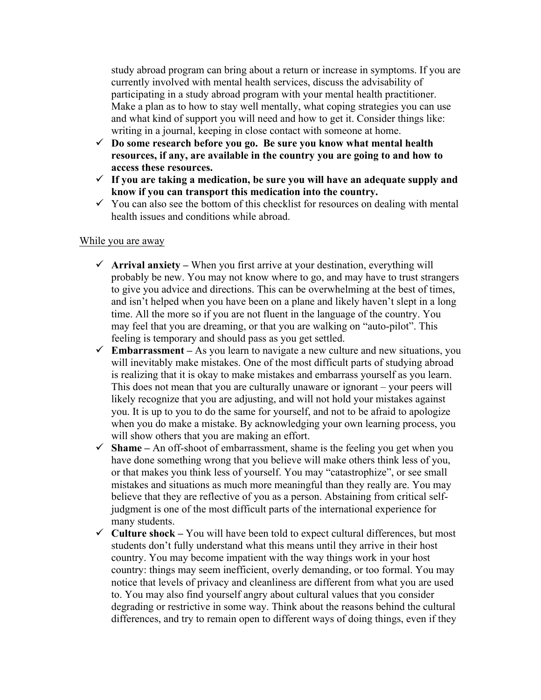study abroad program can bring about a return or increase in symptoms. If you are currently involved with mental health services, discuss the advisability of participating in a study abroad program with your mental health practitioner. Make a plan as to how to stay well mentally, what coping strategies you can use and what kind of support you will need and how to get it. Consider things like: writing in a journal, keeping in close contact with someone at home.

- **Do some research before you go. Be sure you know what mental health resources, if any, are available in the country you are going to and how to access these resources.**
- **If you are taking a medication, be sure you will have an adequate supply and know if you can transport this medication into the country.**
- $\checkmark$  You can also see the bottom of this checklist for resources on dealing with mental health issues and conditions while abroad.

## While you are away

- **Arrival anxiety –** When you first arrive at your destination, everything will probably be new. You may not know where to go, and may have to trust strangers to give you advice and directions. This can be overwhelming at the best of times, and isn't helped when you have been on a plane and likely haven't slept in a long time. All the more so if you are not fluent in the language of the country. You may feel that you are dreaming, or that you are walking on "auto-pilot". This feeling is temporary and should pass as you get settled.
- **Embarrassment –** As you learn to navigate a new culture and new situations, you will inevitably make mistakes. One of the most difficult parts of studying abroad is realizing that it is okay to make mistakes and embarrass yourself as you learn. This does not mean that you are culturally unaware or ignorant – your peers will likely recognize that you are adjusting, and will not hold your mistakes against you. It is up to you to do the same for yourself, and not to be afraid to apologize when you do make a mistake. By acknowledging your own learning process, you will show others that you are making an effort.
- $\checkmark$  **Shame** An off-shoot of embarrassment, shame is the feeling you get when you have done something wrong that you believe will make others think less of you, or that makes you think less of yourself. You may "catastrophize", or see small mistakes and situations as much more meaningful than they really are. You may believe that they are reflective of you as a person. Abstaining from critical selfjudgment is one of the most difficult parts of the international experience for many students.
- **Culture shock –** You will have been told to expect cultural differences, but most students don't fully understand what this means until they arrive in their host country. You may become impatient with the way things work in your host country: things may seem inefficient, overly demanding, or too formal. You may notice that levels of privacy and cleanliness are different from what you are used to. You may also find yourself angry about cultural values that you consider degrading or restrictive in some way. Think about the reasons behind the cultural differences, and try to remain open to different ways of doing things, even if they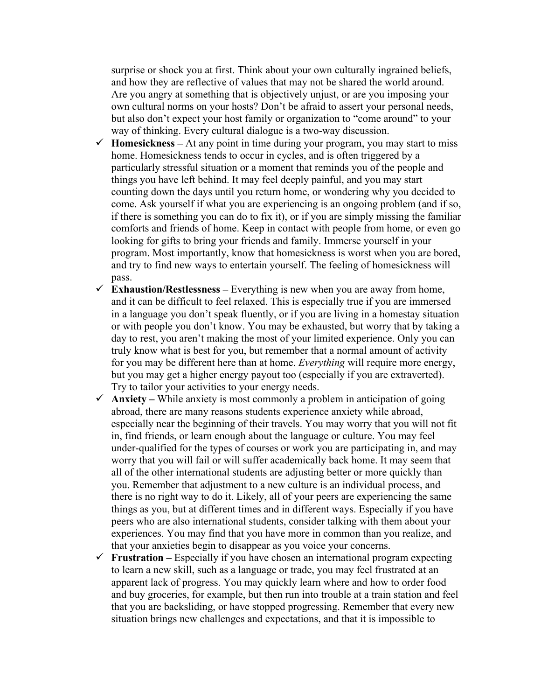surprise or shock you at first. Think about your own culturally ingrained beliefs, and how they are reflective of values that may not be shared the world around. Are you angry at something that is objectively unjust, or are you imposing your own cultural norms on your hosts? Don't be afraid to assert your personal needs, but also don't expect your host family or organization to "come around" to your way of thinking. Every cultural dialogue is a two-way discussion.

- $\checkmark$  **Homesickness** At any point in time during your program, you may start to miss home. Homesickness tends to occur in cycles, and is often triggered by a particularly stressful situation or a moment that reminds you of the people and things you have left behind. It may feel deeply painful, and you may start counting down the days until you return home, or wondering why you decided to come. Ask yourself if what you are experiencing is an ongoing problem (and if so, if there is something you can do to fix it), or if you are simply missing the familiar comforts and friends of home. Keep in contact with people from home, or even go looking for gifts to bring your friends and family. Immerse yourself in your program. Most importantly, know that homesickness is worst when you are bored, and try to find new ways to entertain yourself. The feeling of homesickness will pass.
- $\checkmark$  **Exhaustion/Restlessness –** Everything is new when you are away from home, and it can be difficult to feel relaxed. This is especially true if you are immersed in a language you don't speak fluently, or if you are living in a homestay situation or with people you don't know. You may be exhausted, but worry that by taking a day to rest, you aren't making the most of your limited experience. Only you can truly know what is best for you, but remember that a normal amount of activity for you may be different here than at home. *Everything* will require more energy, but you may get a higher energy payout too (especially if you are extraverted). Try to tailor your activities to your energy needs.
- $\checkmark$  Anxiety While anxiety is most commonly a problem in anticipation of going abroad, there are many reasons students experience anxiety while abroad, especially near the beginning of their travels. You may worry that you will not fit in, find friends, or learn enough about the language or culture. You may feel under-qualified for the types of courses or work you are participating in, and may worry that you will fail or will suffer academically back home. It may seem that all of the other international students are adjusting better or more quickly than you. Remember that adjustment to a new culture is an individual process, and there is no right way to do it. Likely, all of your peers are experiencing the same things as you, but at different times and in different ways. Especially if you have peers who are also international students, consider talking with them about your experiences. You may find that you have more in common than you realize, and that your anxieties begin to disappear as you voice your concerns.
- **Frustration** Especially if you have chosen an international program expecting to learn a new skill, such as a language or trade, you may feel frustrated at an apparent lack of progress. You may quickly learn where and how to order food and buy groceries, for example, but then run into trouble at a train station and feel that you are backsliding, or have stopped progressing. Remember that every new situation brings new challenges and expectations, and that it is impossible to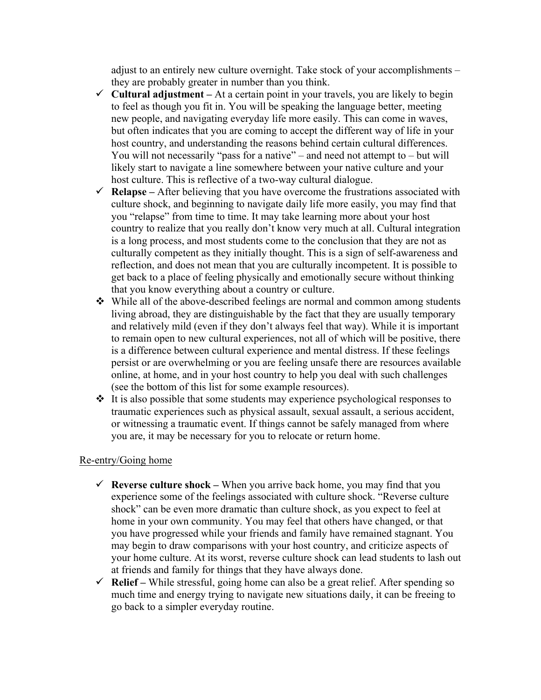adjust to an entirely new culture overnight. Take stock of your accomplishments – they are probably greater in number than you think.

- $\checkmark$  Cultural adjustment At a certain point in your travels, you are likely to begin to feel as though you fit in. You will be speaking the language better, meeting new people, and navigating everyday life more easily. This can come in waves, but often indicates that you are coming to accept the different way of life in your host country, and understanding the reasons behind certain cultural differences. You will not necessarily "pass for a native" – and need not attempt to – but will likely start to navigate a line somewhere between your native culture and your host culture. This is reflective of a two-way cultural dialogue.
- $\checkmark$  **Relapse** After believing that you have overcome the frustrations associated with culture shock, and beginning to navigate daily life more easily, you may find that you "relapse" from time to time. It may take learning more about your host country to realize that you really don't know very much at all. Cultural integration is a long process, and most students come to the conclusion that they are not as culturally competent as they initially thought. This is a sign of self-awareness and reflection, and does not mean that you are culturally incompetent. It is possible to get back to a place of feeling physically and emotionally secure without thinking that you know everything about a country or culture.
- While all of the above-described feelings are normal and common among students living abroad, they are distinguishable by the fact that they are usually temporary and relatively mild (even if they don't always feel that way). While it is important to remain open to new cultural experiences, not all of which will be positive, there is a difference between cultural experience and mental distress. If these feelings persist or are overwhelming or you are feeling unsafe there are resources available online, at home, and in your host country to help you deal with such challenges (see the bottom of this list for some example resources).
- $\triangle$  It is also possible that some students may experience psychological responses to traumatic experiences such as physical assault, sexual assault, a serious accident, or witnessing a traumatic event. If things cannot be safely managed from where you are, it may be necessary for you to relocate or return home.

## Re-entry/Going home

- **Reverse culture shock –** When you arrive back home, you may find that you experience some of the feelings associated with culture shock. "Reverse culture shock" can be even more dramatic than culture shock, as you expect to feel at home in your own community. You may feel that others have changed, or that you have progressed while your friends and family have remained stagnant. You may begin to draw comparisons with your host country, and criticize aspects of your home culture. At its worst, reverse culture shock can lead students to lash out at friends and family for things that they have always done.
- **Relief –** While stressful, going home can also be a great relief. After spending so much time and energy trying to navigate new situations daily, it can be freeing to go back to a simpler everyday routine.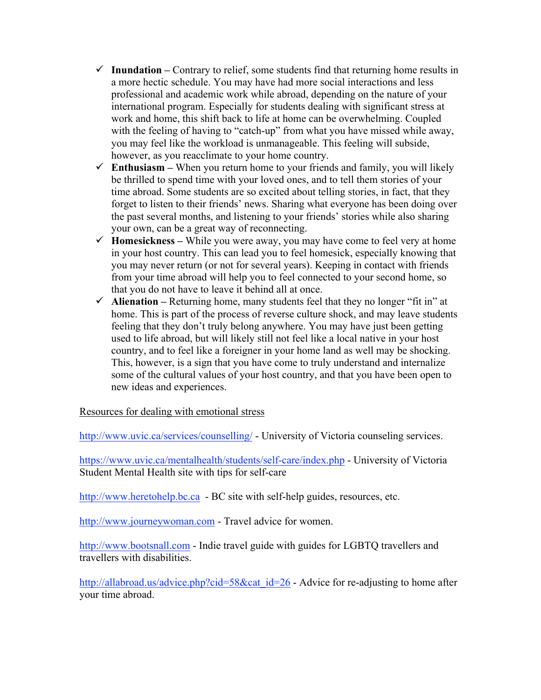- $\checkmark$  Inundation Contrary to relief, some students find that returning home results in a more hectic schedule. You may have had more social interactions and less professional and academic work while abroad, depending on the nature of your international program. Especially for students dealing with significant stress at work and home, this shift back to life at home can be overwhelming. Coupled with the feeling of having to "catch-up" from what you have missed while away, you may feel like the workload is unmanageable. This feeling will subside, however, as you reacclimate to your home country.
- $\checkmark$  **Enthusiasm** When you return home to your friends and family, you will likely be thrilled to spend time with your loved ones, and to tell them stories of your time abroad. Some students are so excited about telling stories, in fact, that they forget to listen to their friends' news. Sharing what everyone has been doing over the past several months, and listening to your friends' stories while also sharing your own, can be a great way of reconnecting.
- **Homesickness –** While you were away, you may have come to feel very at home in your host country. This can lead you to feel homesick, especially knowing that you may never return (or not for several years). Keeping in contact with friends from your time abroad will help you to feel connected to your second home, so that you do not have to leave it behind all at once.
- $\checkmark$  Alienation Returning home, many students feel that they no longer "fit in" at home. This is part of the process of reverse culture shock, and may leave students feeling that they don't truly belong anywhere. You may have just been getting used to life abroad, but will likely still not feel like a local native in your host country, and to feel like a foreigner in your home land as well may be shocking. This, however, is a sign that you have come to truly understand and internalize some of the cultural values of your host country, and that you have been open to new ideas and experiences.

Resources for dealing with emotional stress

http://www.uvic.ca/services/counselling/ - University of Victoria counseling services.

https://www.uvic.ca/mentalhealth/students/self-care/index.php - University of Victoria Student Mental Health site with tips for self-care

http://www.heretohelp.bc.ca - BC site with self-help guides, resources, etc.

http://www.journeywoman.com - Travel advice for women.

http://www.bootsnall.com - Indie travel guide with guides for LGBTQ travellers and travellers with disabilities.

http://allabroad.us/advice.php?cid=58&cat\_id=26 - Advice for re-adjusting to home after your time abroad.